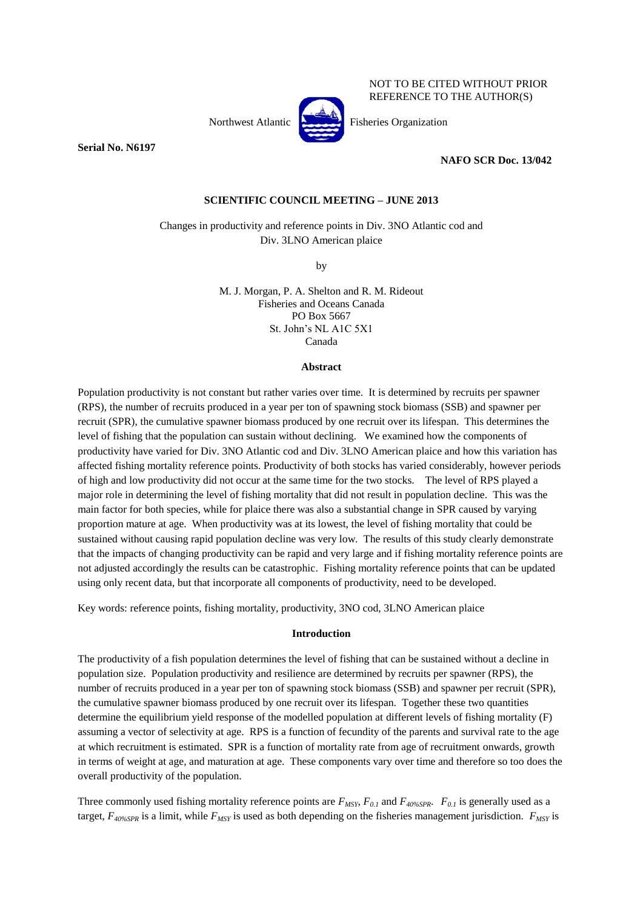NOT TO BE CITED WITHOUT PRIOR REFERENCE TO THE AUTHOR(S)

**Serial No. N6197**

Northwest Atlantic **Participal Fisheries Organization** 

**NAFO SCR Doc. 13/042**

# **SCIENTIFIC COUNCIL MEETING – JUNE 2013**

Changes in productivity and reference points in Div. 3NO Atlantic cod and Div. 3LNO American plaice

by

M. J. Morgan, P. A. Shelton and R. M. Rideout Fisheries and Oceans Canada PO Box 5667 St. John's NL A1C 5X1 Canada

#### **Abstract**

Population productivity is not constant but rather varies over time. It is determined by recruits per spawner (RPS), the number of recruits produced in a year per ton of spawning stock biomass (SSB) and spawner per recruit (SPR), the cumulative spawner biomass produced by one recruit over its lifespan. This determines the level of fishing that the population can sustain without declining. We examined how the components of productivity have varied for Div. 3NO Atlantic cod and Div. 3LNO American plaice and how this variation has affected fishing mortality reference points. Productivity of both stocks has varied considerably, however periods of high and low productivity did not occur at the same time for the two stocks. The level of RPS played a major role in determining the level of fishing mortality that did not result in population decline. This was the main factor for both species, while for plaice there was also a substantial change in SPR caused by varying proportion mature at age. When productivity was at its lowest, the level of fishing mortality that could be sustained without causing rapid population decline was very low. The results of this study clearly demonstrate that the impacts of changing productivity can be rapid and very large and if fishing mortality reference points are not adjusted accordingly the results can be catastrophic. Fishing mortality reference points that can be updated using only recent data, but that incorporate all components of productivity, need to be developed.

Key words: reference points, fishing mortality, productivity, 3NO cod, 3LNO American plaice

# **Introduction**

The productivity of a fish population determines the level of fishing that can be sustained without a decline in population size. Population productivity and resilience are determined by recruits per spawner (RPS), the number of recruits produced in a year per ton of spawning stock biomass (SSB) and spawner per recruit (SPR), the cumulative spawner biomass produced by one recruit over its lifespan. Together these two quantities determine the equilibrium yield response of the modelled population at different levels of fishing mortality (F) assuming a vector of selectivity at age. RPS is a function of fecundity of the parents and survival rate to the age at which recruitment is estimated. SPR is a function of mortality rate from age of recruitment onwards, growth in terms of weight at age, and maturation at age. These components vary over time and therefore so too does the overall productivity of the population.

Three commonly used fishing mortality reference points are  $F_{MSY}$ ,  $F_{0.1}$  and  $F_{40\%SPR}$ .  $F_{0.1}$  is generally used as a target, *F40%SPR* is a limit, while *FMSY* is used as both depending on the fisheries management jurisdiction. *FMSY* is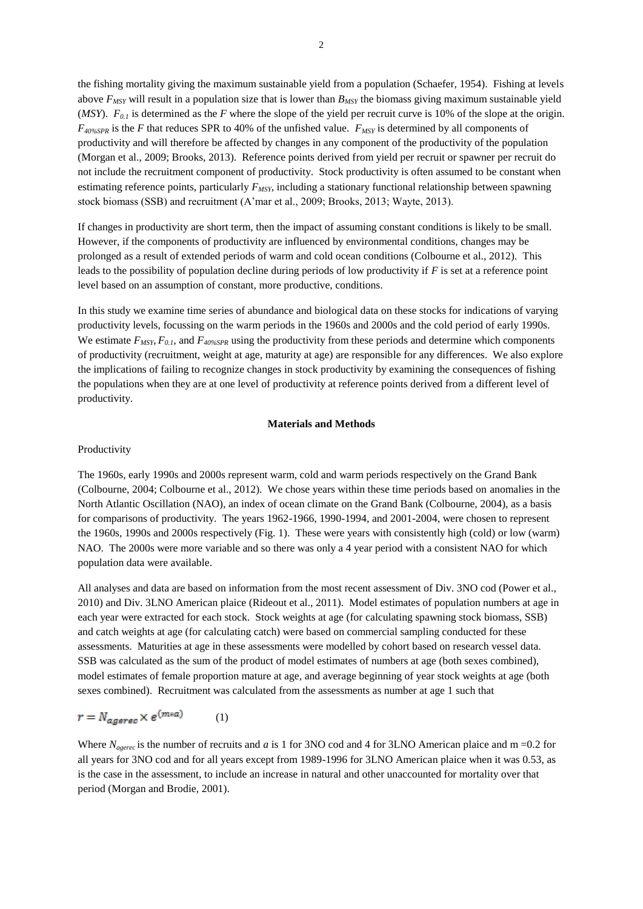the fishing mortality giving the maximum sustainable yield from a population (Schaefer, 1954). Fishing at levels above *FMSY* will result in a population size that is lower than *BMSY* the biomass giving maximum sustainable yield (*MSY*).  $F_{0,I}$  is determined as the *F* where the slope of the yield per recruit curve is 10% of the slope at the origin. *F40%SPR* is the *F* that reduces SPR to 40% of the unfished value. *FMSY* is determined by all components of productivity and will therefore be affected by changes in any component of the productivity of the population (Morgan et al., 2009; Brooks, 2013). Reference points derived from yield per recruit or spawner per recruit do not include the recruitment component of productivity. Stock productivity is often assumed to be constant when estimating reference points, particularly *FMSY*, including a stationary functional relationship between spawning stock biomass (SSB) and recruitment (A'mar et al., 2009; Brooks, 2013; Wayte, 2013).

If changes in productivity are short term, then the impact of assuming constant conditions is likely to be small. However, if the components of productivity are influenced by environmental conditions, changes may be prolonged as a result of extended periods of warm and cold ocean conditions (Colbourne et al., 2012). This leads to the possibility of population decline during periods of low productivity if *F* is set at a reference point level based on an assumption of constant, more productive, conditions.

In this study we examine time series of abundance and biological data on these stocks for indications of varying productivity levels, focussing on the warm periods in the 1960s and 2000s and the cold period of early 1990s. We estimate  $F_{MSY}$ ,  $F_{0,l}$ , and  $F_{40\%SPR}$  using the productivity from these periods and determine which components of productivity (recruitment, weight at age, maturity at age) are responsible for any differences. We also explore the implications of failing to recognize changes in stock productivity by examining the consequences of fishing the populations when they are at one level of productivity at reference points derived from a different level of productivity.

### **Materials and Methods**

#### Productivity

The 1960s, early 1990s and 2000s represent warm, cold and warm periods respectively on the Grand Bank (Colbourne, 2004; Colbourne et al., 2012). We chose years within these time periods based on anomalies in the North Atlantic Oscillation (NAO), an index of ocean climate on the Grand Bank (Colbourne, 2004), as a basis for comparisons of productivity. The years 1962-1966, 1990-1994, and 2001-2004, were chosen to represent the 1960s, 1990s and 2000s respectively (Fig. 1). These were years with consistently high (cold) or low (warm) NAO. The 2000s were more variable and so there was only a 4 year period with a consistent NAO for which population data were available.

All analyses and data are based on information from the most recent assessment of Div. 3NO cod (Power et al., 2010) and Div. 3LNO American plaice (Rideout et al., 2011). Model estimates of population numbers at age in each year were extracted for each stock. Stock weights at age (for calculating spawning stock biomass, SSB) and catch weights at age (for calculating catch) were based on commercial sampling conducted for these assessments. Maturities at age in these assessments were modelled by cohort based on research vessel data. SSB was calculated as the sum of the product of model estimates of numbers at age (both sexes combined), model estimates of female proportion mature at age, and average beginning of year stock weights at age (both sexes combined). Recruitment was calculated from the assessments as number at age 1 such that

$$
r = N_{ag \text{er} \epsilon} \times e^{(m \ast a)} \tag{1}
$$

Where  $N_{agerec}$  is the number of recruits and *a* is 1 for 3NO cod and 4 for 3LNO American plaice and m =0.2 for all years for 3NO cod and for all years except from 1989-1996 for 3LNO American plaice when it was 0.53, as is the case in the assessment, to include an increase in natural and other unaccounted for mortality over that period (Morgan and Brodie, 2001).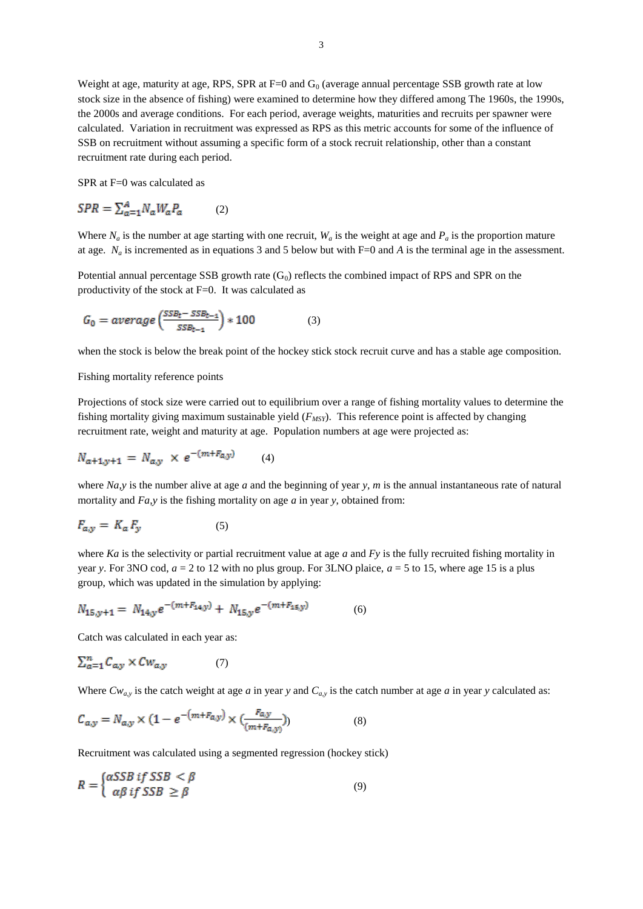Weight at age, maturity at age, RPS, SPR at  $F=0$  and  $G<sub>0</sub>$  (average annual percentage SSB growth rate at low stock size in the absence of fishing) were examined to determine how they differed among The 1960s, the 1990s, the 2000s and average conditions. For each period, average weights, maturities and recruits per spawner were calculated. Variation in recruitment was expressed as RPS as this metric accounts for some of the influence of SSB on recruitment without assuming a specific form of a stock recruit relationship, other than a constant recruitment rate during each period.

SPR at F=0 was calculated as

$$
SPR = \sum_{a=1}^{A} N_a W_a P_a \tag{2}
$$

Where  $N_a$  is the number at age starting with one recruit,  $W_a$  is the weight at age and  $P_a$  is the proportion mature at age.  $N_a$  is incremented as in equations 3 and 5 below but with  $F=0$  and A is the terminal age in the assessment.

Potential annual percentage SSB growth rate  $(G_0)$  reflects the combined impact of RPS and SPR on the productivity of the stock at F=0. It was calculated as

$$
G_0 = average\left(\frac{SSB_t - SSB_{t-1}}{SSB_{t-1}}\right) * 100\tag{3}
$$

when the stock is below the break point of the hockey stick stock recruit curve and has a stable age composition.

## Fishing mortality reference points

Projections of stock size were carried out to equilibrium over a range of fishing mortality values to determine the fishing mortality giving maximum sustainable yield (*FMSY*). This reference point is affected by changing recruitment rate, weight and maturity at age. Population numbers at age were projected as:

$$
N_{a+1,y+1} = N_{a,y} \times e^{-(m+F_{a,y})}
$$
 (4)

where *Na,y* is the number alive at age *a* and the beginning of year *y*, *m* is the annual instantaneous rate of natural mortality and *Fa,y* is the fishing mortality on age *a* in year *y*, obtained from:

$$
F_{a,y} = K_a F_y \tag{5}
$$

where *Ka* is the selectivity or partial recruitment value at age *a* and *Fy* is the fully recruited fishing mortality in year *y*. For 3NO cod,  $a = 2$  to 12 with no plus group. For 3LNO plaice,  $a = 5$  to 15, where age 15 is a plus group, which was updated in the simulation by applying:

$$
N_{15,y+1} = N_{14,y}e^{-(m+F_{14,y})} + N_{15,y}e^{-(m+F_{15,y})}
$$
(6)

Catch was calculated in each year as:

$$
\sum_{a=1}^{n} C_{a,y} \times C w_{a,y} \tag{7}
$$

Where  $Cw_{a,y}$  is the catch weight at age *a* in year *y* and  $C_{a,y}$  is the catch number at age *a* in year *y* calculated as:

$$
C_{a,y} = N_{a,y} \times (1 - e^{-(m + F_{a,y})} \times (\frac{F_{a,y}}{(m + F_{a,y})})
$$
(8)

Recruitment was calculated using a segmented regression (hockey stick)

$$
R = \begin{cases} \alpha SSB & \text{if } SSB < \beta \\ \alpha \beta & \text{if } SSB \ge \beta \end{cases} \tag{9}
$$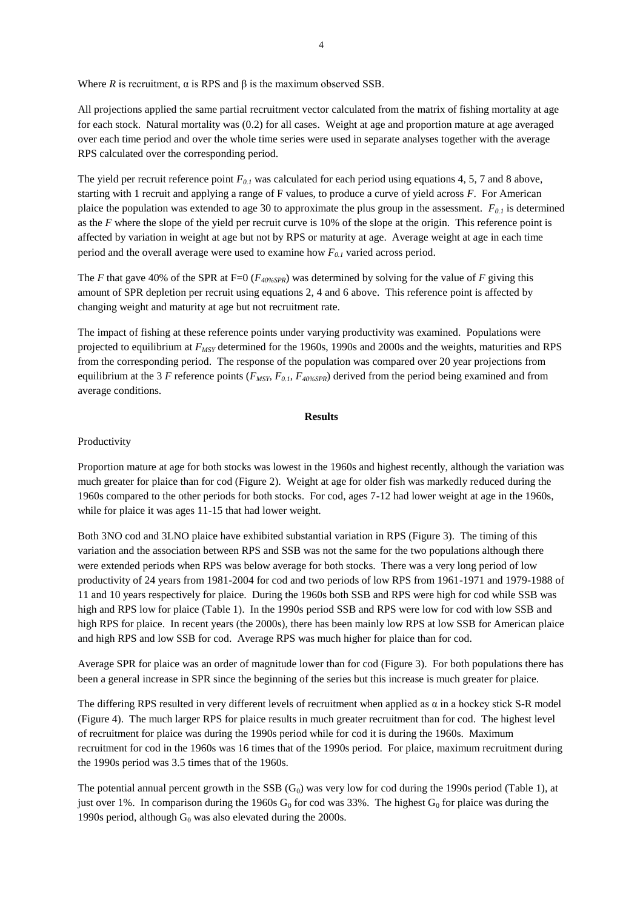Where *R* is recruitment,  $\alpha$  is RPS and  $\beta$  is the maximum observed SSB.

All projections applied the same partial recruitment vector calculated from the matrix of fishing mortality at age for each stock. Natural mortality was (0.2) for all cases. Weight at age and proportion mature at age averaged over each time period and over the whole time series were used in separate analyses together with the average RPS calculated over the corresponding period.

The yield per recruit reference point *F0.1* was calculated for each period using equations 4, 5, 7 and 8 above, starting with 1 recruit and applying a range of F values, to produce a curve of yield across *F*. For American plaice the population was extended to age 30 to approximate the plus group in the assessment. *F0.1* is determined as the *F* where the slope of the yield per recruit curve is 10% of the slope at the origin. This reference point is affected by variation in weight at age but not by RPS or maturity at age. Average weight at age in each time period and the overall average were used to examine how *F0.1* varied across period.

The *F* that gave 40% of the SPR at F=0 ( $F_{40\%SPR}$ ) was determined by solving for the value of *F* giving this amount of SPR depletion per recruit using equations 2, 4 and 6 above. This reference point is affected by changing weight and maturity at age but not recruitment rate.

The impact of fishing at these reference points under varying productivity was examined. Populations were projected to equilibrium at *FMSY* determined for the 1960s, 1990s and 2000s and the weights, maturities and RPS from the corresponding period. The response of the population was compared over 20 year projections from equilibrium at the 3 *F* reference points  $(F_{MSY}, F_{0,I}, F_{40\%2FR})$  derived from the period being examined and from average conditions.

## **Results**

## Productivity

Proportion mature at age for both stocks was lowest in the 1960s and highest recently, although the variation was much greater for plaice than for cod (Figure 2). Weight at age for older fish was markedly reduced during the 1960s compared to the other periods for both stocks. For cod, ages 7-12 had lower weight at age in the 1960s, while for plaice it was ages 11-15 that had lower weight.

Both 3NO cod and 3LNO plaice have exhibited substantial variation in RPS (Figure 3). The timing of this variation and the association between RPS and SSB was not the same for the two populations although there were extended periods when RPS was below average for both stocks. There was a very long period of low productivity of 24 years from 1981-2004 for cod and two periods of low RPS from 1961-1971 and 1979-1988 of 11 and 10 years respectively for plaice. During the 1960s both SSB and RPS were high for cod while SSB was high and RPS low for plaice (Table 1). In the 1990s period SSB and RPS were low for cod with low SSB and high RPS for plaice. In recent years (the 2000s), there has been mainly low RPS at low SSB for American plaice and high RPS and low SSB for cod. Average RPS was much higher for plaice than for cod.

Average SPR for plaice was an order of magnitude lower than for cod (Figure 3). For both populations there has been a general increase in SPR since the beginning of the series but this increase is much greater for plaice.

The differing RPS resulted in very different levels of recruitment when applied as  $\alpha$  in a hockey stick S-R model (Figure 4). The much larger RPS for plaice results in much greater recruitment than for cod. The highest level of recruitment for plaice was during the 1990s period while for cod it is during the 1960s. Maximum recruitment for cod in the 1960s was 16 times that of the 1990s period. For plaice, maximum recruitment during the 1990s period was 3.5 times that of the 1960s.

The potential annual percent growth in the SSB  $(G_0)$  was very low for cod during the 1990s period (Table 1), at just over 1%. In comparison during the 1960s  $G_0$  for cod was 33%. The highest  $G_0$  for plaice was during the 1990s period, although  $G_0$  was also elevated during the 2000s.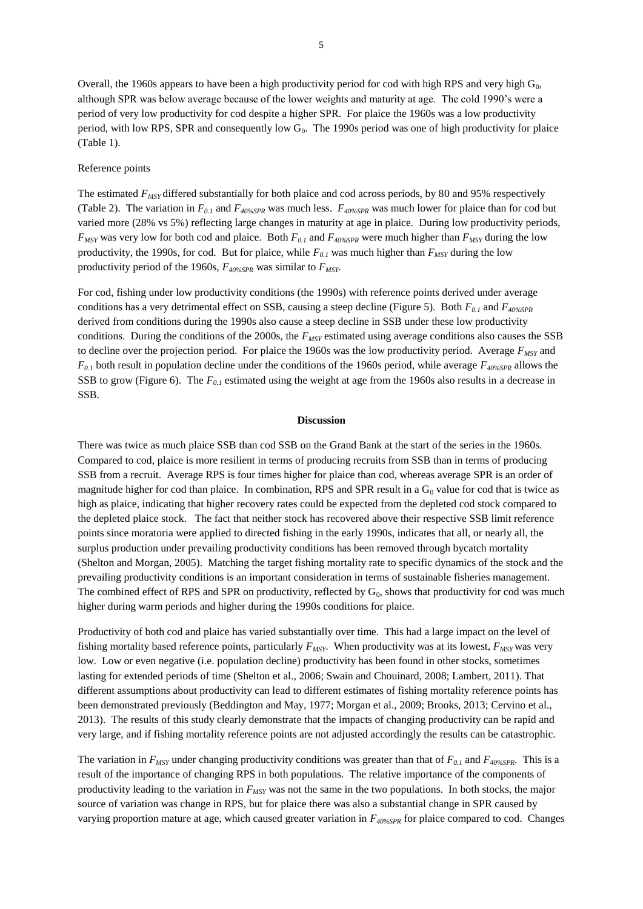Overall, the 1960s appears to have been a high productivity period for cod with high RPS and very high  $G_0$ , although SPR was below average because of the lower weights and maturity at age. The cold 1990's were a period of very low productivity for cod despite a higher SPR. For plaice the 1960s was a low productivity period, with low RPS, SPR and consequently low  $G_0$ . The 1990s period was one of high productivity for plaice (Table 1).

#### Reference points

The estimated *FMSY* differed substantially for both plaice and cod across periods, by 80 and 95% respectively (Table 2). The variation in  $F_{0,I}$  and  $F_{40\%SPR}$  was much less.  $F_{40\%SPR}$  was much lower for plaice than for cod but varied more (28% vs 5%) reflecting large changes in maturity at age in plaice. During low productivity periods, *FMSY* was very low for both cod and plaice. Both *F0.1* and *F40%SPR* were much higher than *FMSY* during the low productivity, the 1990s, for cod. But for plaice, while  $F_{0,I}$  was much higher than  $F_{MSY}$  during the low productivity period of the 1960s, *F40%SPR* was similar to *FMSY*.

For cod, fishing under low productivity conditions (the 1990s) with reference points derived under average conditions has a very detrimental effect on SSB, causing a steep decline (Figure 5). Both *F0.1* and *F40%SPR* derived from conditions during the 1990s also cause a steep decline in SSB under these low productivity conditions. During the conditions of the 2000s, the *FMSY* estimated using average conditions also causes the SSB to decline over the projection period. For plaice the 1960s was the low productivity period. Average *FMSY* and *F0.1* both result in population decline under the conditions of the 1960s period, while average *F40%SPR* allows the SSB to grow (Figure 6). The *F0.1* estimated using the weight at age from the 1960s also results in a decrease in SSB.

#### **Discussion**

There was twice as much plaice SSB than cod SSB on the Grand Bank at the start of the series in the 1960s. Compared to cod, plaice is more resilient in terms of producing recruits from SSB than in terms of producing SSB from a recruit. Average RPS is four times higher for plaice than cod, whereas average SPR is an order of magnitude higher for cod than plaice. In combination, RPS and SPR result in a  $G_0$  value for cod that is twice as high as plaice, indicating that higher recovery rates could be expected from the depleted cod stock compared to the depleted plaice stock. The fact that neither stock has recovered above their respective SSB limit reference points since moratoria were applied to directed fishing in the early 1990s, indicates that all, or nearly all, the surplus production under prevailing productivity conditions has been removed through bycatch mortality (Shelton and Morgan, 2005). Matching the target fishing mortality rate to specific dynamics of the stock and the prevailing productivity conditions is an important consideration in terms of sustainable fisheries management. The combined effect of RPS and SPR on productivity, reflected by  $G_0$ , shows that productivity for cod was much higher during warm periods and higher during the 1990s conditions for plaice.

Productivity of both cod and plaice has varied substantially over time. This had a large impact on the level of fishing mortality based reference points, particularly *FMSY*. When productivity was at its lowest, *FMSY* was very low. Low or even negative (i.e. population decline) productivity has been found in other stocks, sometimes lasting for extended periods of time (Shelton et al., 2006; Swain and Chouinard, 2008; Lambert, 2011). That different assumptions about productivity can lead to different estimates of fishing mortality reference points has been demonstrated previously (Beddington and May, 1977; Morgan et al., 2009; Brooks, 2013; Cervino et al., 2013). The results of this study clearly demonstrate that the impacts of changing productivity can be rapid and very large, and if fishing mortality reference points are not adjusted accordingly the results can be catastrophic.

The variation in  $F_{MSY}$  under changing productivity conditions was greater than that of  $F_{0,I}$  and  $F_{40\%SPR}$ . This is a result of the importance of changing RPS in both populations. The relative importance of the components of productivity leading to the variation in  $F_{MSY}$  was not the same in the two populations. In both stocks, the major source of variation was change in RPS, but for plaice there was also a substantial change in SPR caused by varying proportion mature at age, which caused greater variation in *F40%SPR* for plaice compared to cod. Changes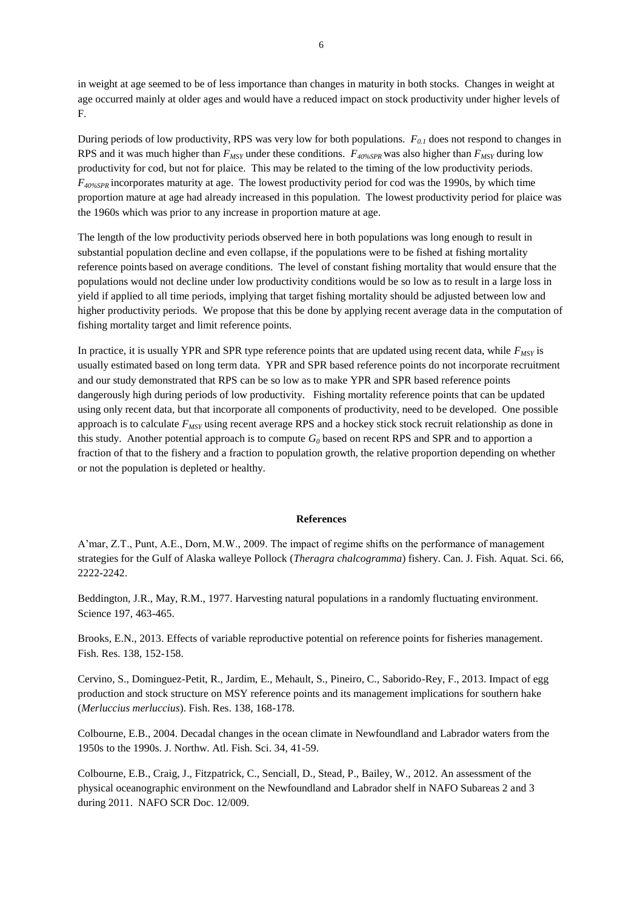in weight at age seemed to be of less importance than changes in maturity in both stocks. Changes in weight at age occurred mainly at older ages and would have a reduced impact on stock productivity under higher levels of F.

During periods of low productivity, RPS was very low for both populations. *F0.1* does not respond to changes in RPS and it was much higher than *FMSY* under these conditions. *F40%SPR* was also higher than *FMSY* during low productivity for cod, but not for plaice. This may be related to the timing of the low productivity periods. *F40%SPR* incorporates maturity at age. The lowest productivity period for cod was the 1990s, by which time proportion mature at age had already increased in this population. The lowest productivity period for plaice was the 1960s which was prior to any increase in proportion mature at age.

The length of the low productivity periods observed here in both populations was long enough to result in substantial population decline and even collapse, if the populations were to be fished at fishing mortality reference points based on average conditions. The level of constant fishing mortality that would ensure that the populations would not decline under low productivity conditions would be so low as to result in a large loss in yield if applied to all time periods, implying that target fishing mortality should be adjusted between low and higher productivity periods. We propose that this be done by applying recent average data in the computation of fishing mortality target and limit reference points.

In practice, it is usually YPR and SPR type reference points that are updated using recent data, while *FMSY* is usually estimated based on long term data. YPR and SPR based reference points do not incorporate recruitment and our study demonstrated that RPS can be so low as to make YPR and SPR based reference points dangerously high during periods of low productivity. Fishing mortality reference points that can be updated using only recent data, but that incorporate all components of productivity, need to be developed. One possible approach is to calculate *FMSY* using recent average RPS and a hockey stick stock recruit relationship as done in this study. Another potential approach is to compute  $G_0$  based on recent RPS and SPR and to apportion a fraction of that to the fishery and a fraction to population growth, the relative proportion depending on whether or not the population is depleted or healthy.

### **References**

A'mar, Z.T., Punt, A.E., Dorn, M.W., 2009. The impact of regime shifts on the performance of management strategies for the Gulf of Alaska walleye Pollock (*Theragra chalcogramma*) fishery. Can. J. Fish. Aquat. Sci. 66, 2222-2242.

Beddington, J.R., May, R.M., 1977. Harvesting natural populations in a randomly fluctuating environment. Science 197, 463-465.

Brooks, E.N., 2013. Effects of variable reproductive potential on reference points for fisheries management. Fish. Res. 138, 152-158.

Cervino, S., Dominguez-Petit, R., Jardim, E., Mehault, S., Pineiro, C., Saborido-Rey, F., 2013. Impact of egg production and stock structure on MSY reference points and its management implications for southern hake (*Merluccius merluccius*). Fish. Res. 138, 168-178.

Colbourne, E.B., 2004. Decadal changes in the ocean climate in Newfoundland and Labrador waters from the 1950s to the 1990s. J. Northw. Atl. Fish. Sci. 34, 41-59.

Colbourne, E.B., Craig, J., Fitzpatrick, C., Senciall, D., Stead, P., Bailey, W., 2012. An assessment of the physical oceanographic environment on the Newfoundland and Labrador shelf in NAFO Subareas 2 and 3 during 2011. NAFO SCR Doc. 12/009.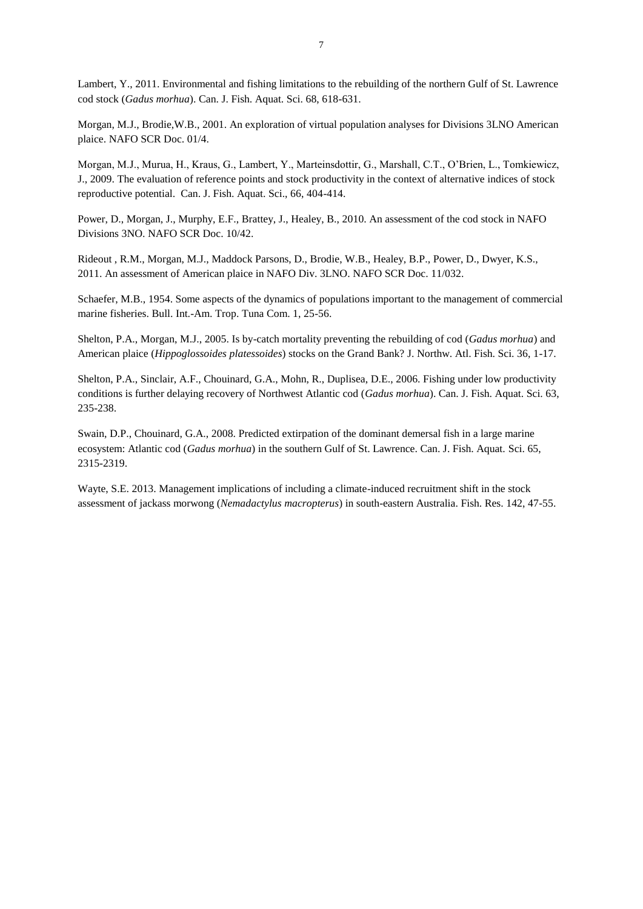Lambert, Y., 2011. Environmental and fishing limitations to the rebuilding of the northern Gulf of St. Lawrence cod stock (*Gadus morhua*). Can. J. Fish. Aquat. Sci. 68, 618-631.

Morgan, M.J., Brodie,W.B., 2001. An exploration of virtual population analyses for Divisions 3LNO American plaice. NAFO SCR Doc. 01/4.

Morgan, M.J., Murua, H., Kraus, G., Lambert, Y., Marteinsdottir, G., Marshall, C.T., O'Brien, L., Tomkiewicz, J., 2009. The evaluation of reference points and stock productivity in the context of alternative indices of stock reproductive potential. Can. J. Fish. Aquat. Sci., 66, 404-414.

Power, D., Morgan, J., Murphy, E.F., Brattey, J., Healey, B., 2010. An assessment of the cod stock in NAFO Divisions 3NO. NAFO SCR Doc. 10/42.

Rideout , R.M., Morgan, M.J., Maddock Parsons, D., Brodie, W.B., Healey, B.P., Power, D., Dwyer, K.S., 2011. An assessment of American plaice in NAFO Div. 3LNO. NAFO SCR Doc. 11/032.

Schaefer, M.B., 1954. Some aspects of the dynamics of populations important to the management of commercial marine fisheries. Bull. Int.-Am. Trop. Tuna Com. 1, 25-56.

Shelton, P.A., Morgan, M.J., 2005. Is by-catch mortality preventing the rebuilding of cod (*Gadus morhua*) and American plaice (*Hippoglossoides platessoides*) stocks on the Grand Bank? J. Northw. Atl. Fish. Sci. 36, 1-17.

Shelton, P.A., Sinclair, A.F., Chouinard, G.A., Mohn, R., Duplisea, D.E., 2006. Fishing under low productivity conditions is further delaying recovery of Northwest Atlantic cod (*Gadus morhua*). Can. J. Fish. Aquat. Sci. 63, 235-238.

Swain, D.P., Chouinard, G.A., 2008. Predicted extirpation of the dominant demersal fish in a large marine ecosystem: Atlantic cod (*Gadus morhua*) in the southern Gulf of St. Lawrence. Can. J. Fish. Aquat. Sci. 65, 2315-2319.

Wayte, S.E. 2013. Management implications of including a climate-induced recruitment shift in the stock assessment of jackass morwong (*Nemadactylus macropterus*) in south-eastern Australia. Fish. Res. 142, 47-55.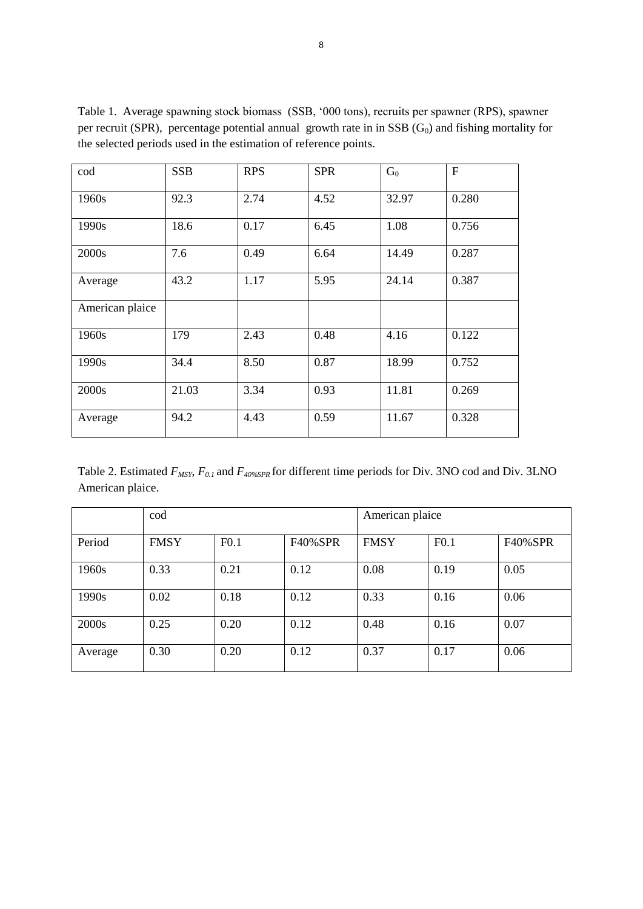| cod             | <b>SSB</b> | <b>RPS</b> | <b>SPR</b> | $G_0$ | $\mathbf{F}$ |
|-----------------|------------|------------|------------|-------|--------------|
| 1960s           | 92.3       | 2.74       | 4.52       | 32.97 | 0.280        |
| 1990s           | 18.6       | 0.17       | 6.45       | 1.08  | 0.756        |
| 2000s           | 7.6        | 0.49       | 6.64       | 14.49 | 0.287        |
| Average         | 43.2       | 1.17       | 5.95       | 24.14 | 0.387        |
| American plaice |            |            |            |       |              |
| 1960s           | 179        | 2.43       | 0.48       | 4.16  | 0.122        |
| 1990s           | 34.4       | 8.50       | 0.87       | 18.99 | 0.752        |
| 2000s           | 21.03      | 3.34       | 0.93       | 11.81 | 0.269        |
| Average         | 94.2       | 4.43       | 0.59       | 11.67 | 0.328        |

Table 1. Average spawning stock biomass (SSB, '000 tons), recruits per spawner (RPS), spawner per recruit (SPR), percentage potential annual growth rate in in SSB  $(G_0)$  and fishing mortality for the selected periods used in the estimation of reference points.

Table 2. Estimated *FMSY*, *F0.1* and *F40%SPR* for different time periods for Div. 3NO cod and Div. 3LNO American plaice.

|         | cod         |      |                | American plaice |      |                |
|---------|-------------|------|----------------|-----------------|------|----------------|
| Period  | <b>FMSY</b> | F0.1 | <b>F40%SPR</b> | <b>FMSY</b>     | F0.1 | <b>F40%SPR</b> |
| 1960s   | 0.33        | 0.21 | 0.12           | 0.08            | 0.19 | 0.05           |
| 1990s   | 0.02        | 0.18 | 0.12           | 0.33            | 0.16 | 0.06           |
| 2000s   | 0.25        | 0.20 | 0.12           | 0.48            | 0.16 | 0.07           |
| Average | 0.30        | 0.20 | 0.12           | 0.37            | 0.17 | 0.06           |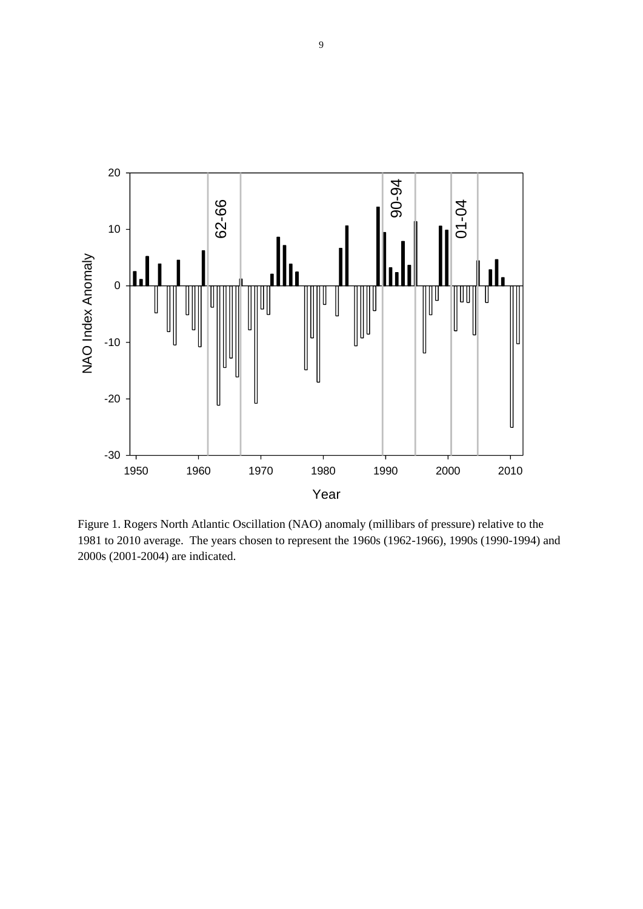

Figure 1. Rogers North Atlantic Oscillation (NAO) anomaly (millibars of pressure) relative to the 1981 to 2010 average. The years chosen to represent the 1960s (1962-1966), 1990s (1990-1994) and 2000s (2001-2004) are indicated.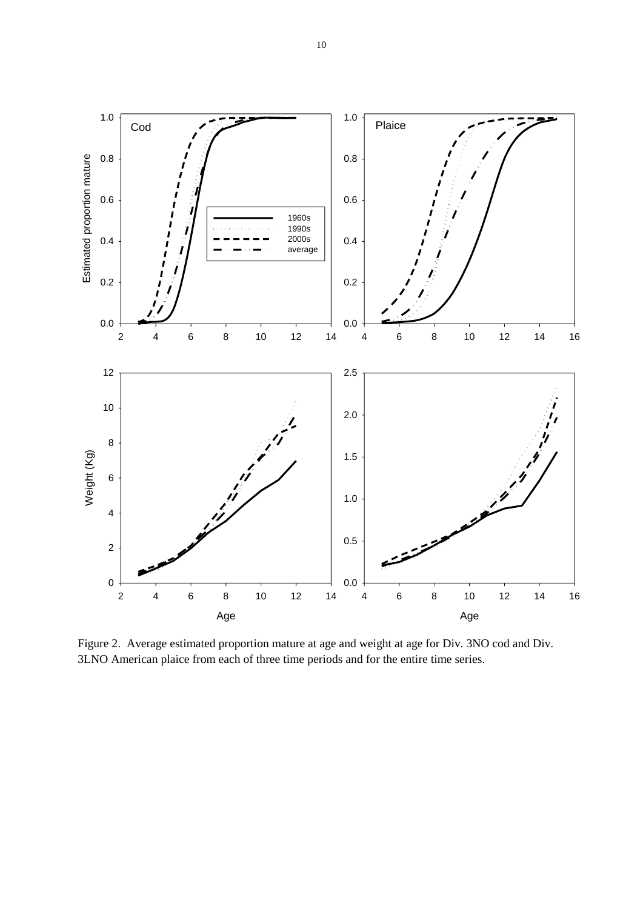

Figure 2. Average estimated proportion mature at age and weight at age for Div. 3NO cod and Div. 3LNO American plaice from each of three time periods and for the entire time series.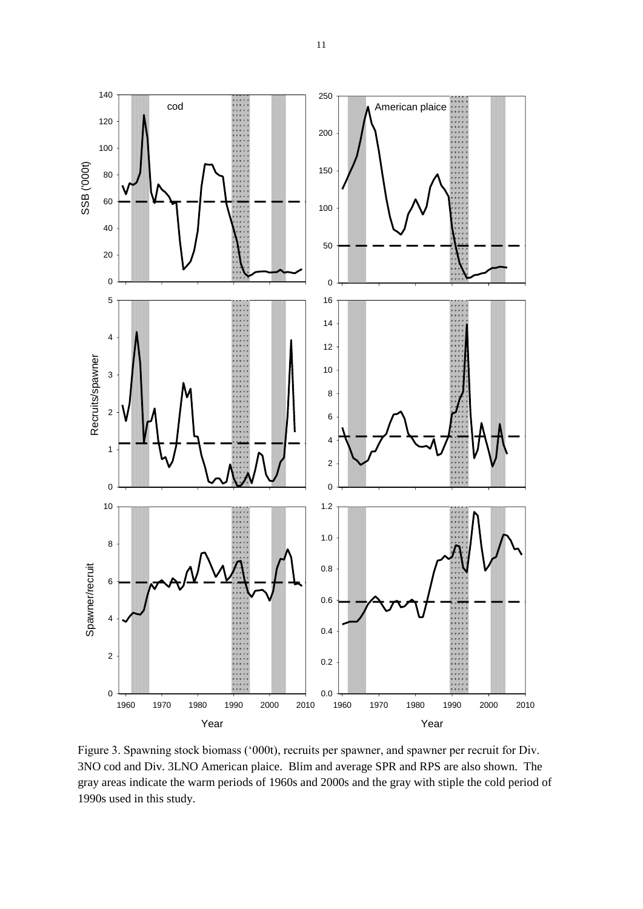

Figure 3. Spawning stock biomass ('000t), recruits per spawner, and spawner per recruit for Div. 3NO cod and Div. 3LNO American plaice. Blim and average SPR and RPS are also shown. The gray areas indicate the warm periods of 1960s and 2000s and the gray with stiple the cold period of 1990s used in this study.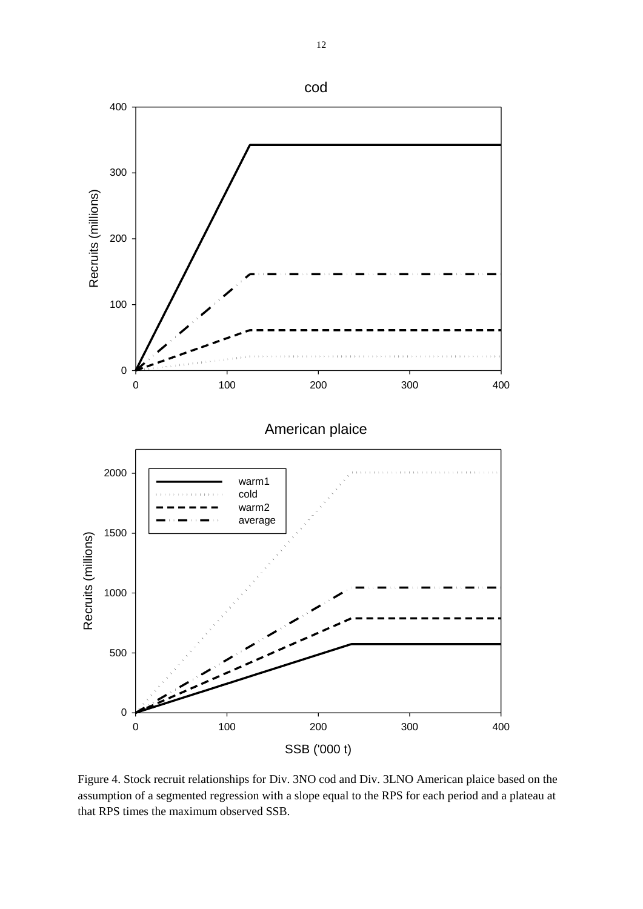

Figure 4. Stock recruit relationships for Div. 3NO cod and Div. 3LNO American plaice based on the assumption of a segmented regression with a slope equal to the RPS for each period and a plateau at that RPS times the maximum observed SSB.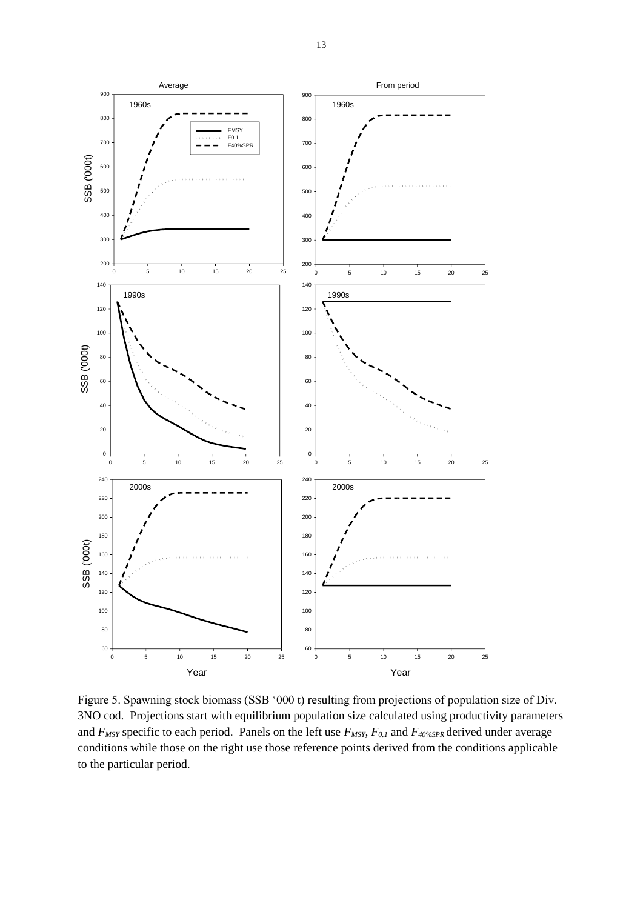

Figure 5. Spawning stock biomass (SSB '000 t) resulting from projections of population size of Div. 3NO cod. Projections start with equilibrium population size calculated using productivity parameters and *FMSY* specific to each period. Panels on the left use *FMSY, F0.1* and *F40%SPR* derived under average conditions while those on the right use those reference points derived from the conditions applicable to the particular period.